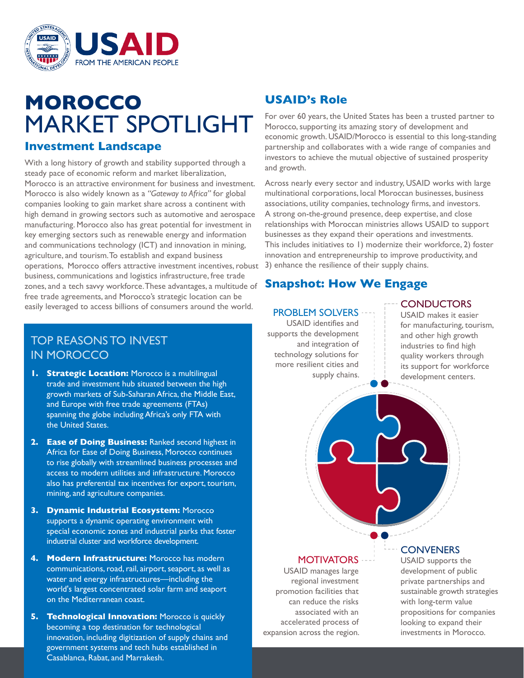

# **MOROCCO** MARKET SPOTLIGHT

## **Investment Landscape**

With a long history of growth and stability supported through a steady pace of economic reform and market liberalization, Morocco is an attractive environment for business and investment. Morocco is also widely known as a *"Gateway to Africa"* for global companies looking to gain market share across a continent with high demand in growing sectors such as automotive and aerospace manufacturing. Morocco also has great potential for investment in key emerging sectors such as renewable energy and information and communications technology (ICT) and innovation in mining, agriculture, and tourism. To establish and expand business operations, Morocco offers attractive investment incentives, robust business, communications and logistics infrastructure, free trade zones, and a tech savvy workforce. These advantages, a multitude of free trade agreements, and Morocco's strategic location can be easily leveraged to access billions of consumers around the world.

# TOP REASONS TO INVEST IN MOROCCO

- **1. Strategic Location:** Morocco is a multilingual trade and investment hub situated between the high growth markets of Sub-Saharan Africa, the Middle East, and Europe with free trade agreements (FTAs) spanning the globe including Africa's only FTA with the United States.
- **2. Ease of Doing Business:** Ranked second highest in Africa for Ease of Doing Business, Morocco continues to rise globally with streamlined business processes and access to modern utilities and infrastructure. Morocco also has preferential tax incentives for export, tourism, mining, and agriculture companies.
- **3. Dynamic Industrial Ecosystem:** Morocco supports a dynamic operating environment with special economic zones and industrial parks that foster industrial cluster and workforce development.
- **4. Modern Infrastructure:** Morocco has modern communications, road, rail, airport, seaport, as well as water and energy infrastructures—including the world's largest concentrated solar farm and seaport on the Mediterranean coast.
- **5. Technological Innovation:** Morocco is quickly becoming a top destination for technological innovation, including digitization of supply chains and government systems and tech hubs established in Casablanca, Rabat, and Marrakesh.

# **USAID's Role**

For over 60 years, the United States has been a trusted partner to Morocco, supporting its amazing story of development and economic growth. USAID/Morocco is essential to this long-standing partnership and collaborates with a wide range of companies and investors to achieve the mutual objective of sustained prosperity and growth.

Across nearly every sector and industry, USAID works with large multinational corporations, local Moroccan businesses, business associations, utility companies, technology firms, and investors. A strong on-the-ground presence, deep expertise, and close relationships with Moroccan ministries allows USAID to support businesses as they expand their operations and investments. This includes initiatives to 1) modernize their workforce, 2) foster innovation and entrepreneurship to improve productivity, and 3) enhance the resilience of their supply chains.

# **Snapshot: How We Engage**

### PROBLEM SOLVERS

USAID identifies and supports the development and integration of technology solutions for more resilient cities and supply chains.

## **CONDUCTORS**

USAID makes it easier for manufacturing, tourism, and other high growth industries to find high quality workers through its support for workforce development centers.

## **MOTIVATORS**

USAID manages large regional investment promotion facilities that can reduce the risks associated with an accelerated process of expansion across the region.

## **CONVENERS**

USAID supports the development of public private partnerships and sustainable growth strategies with long-term value propositions for companies looking to expand their investments in Morocco.